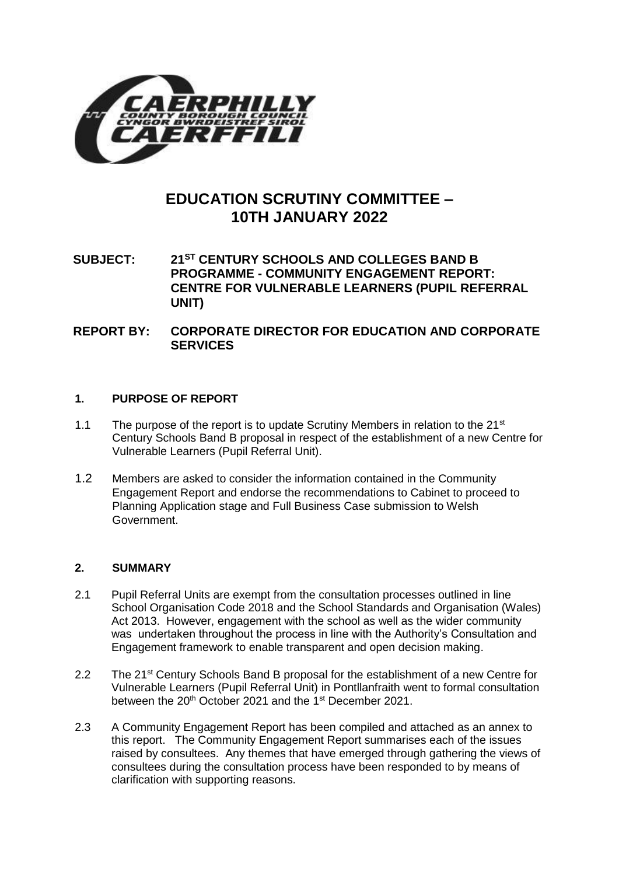

# **EDUCATION SCRUTINY COMMITTEE – 10TH JANUARY 2022**

**SUBJECT: 21ST CENTURY SCHOOLS AND COLLEGES BAND B PROGRAMME - COMMUNITY ENGAGEMENT REPORT: CENTRE FOR VULNERABLE LEARNERS (PUPIL REFERRAL UNIT)**

**REPORT BY: CORPORATE DIRECTOR FOR EDUCATION AND CORPORATE SERVICES**

## **1. PURPOSE OF REPORT**

- 1.1 The purpose of the report is to update Scrutiny Members in relation to the  $21<sup>st</sup>$ Century Schools Band B proposal in respect of the establishment of a new Centre for Vulnerable Learners (Pupil Referral Unit).
- 1.2 Members are asked to consider the information contained in the Community Engagement Report and endorse the recommendations to Cabinet to proceed to Planning Application stage and Full Business Case submission to Welsh Government.

## **2. SUMMARY**

- 2.1 Pupil Referral Units are exempt from the consultation processes outlined in line School Organisation Code 2018 and the School Standards and Organisation (Wales) Act 2013. However, engagement with the school as well as the wider community was undertaken throughout the process in line with the Authority's Consultation and Engagement framework to enable transparent and open decision making.
- 2.2 The 21<sup>st</sup> Century Schools Band B proposal for the establishment of a new Centre for Vulnerable Learners (Pupil Referral Unit) in Pontllanfraith went to formal consultation between the 20<sup>th</sup> October 2021 and the 1<sup>st</sup> December 2021.
- 2.3 A Community Engagement Report has been compiled and attached as an annex to this report. The Community Engagement Report summarises each of the issues raised by consultees. Any themes that have emerged through gathering the views of consultees during the consultation process have been responded to by means of clarification with supporting reasons.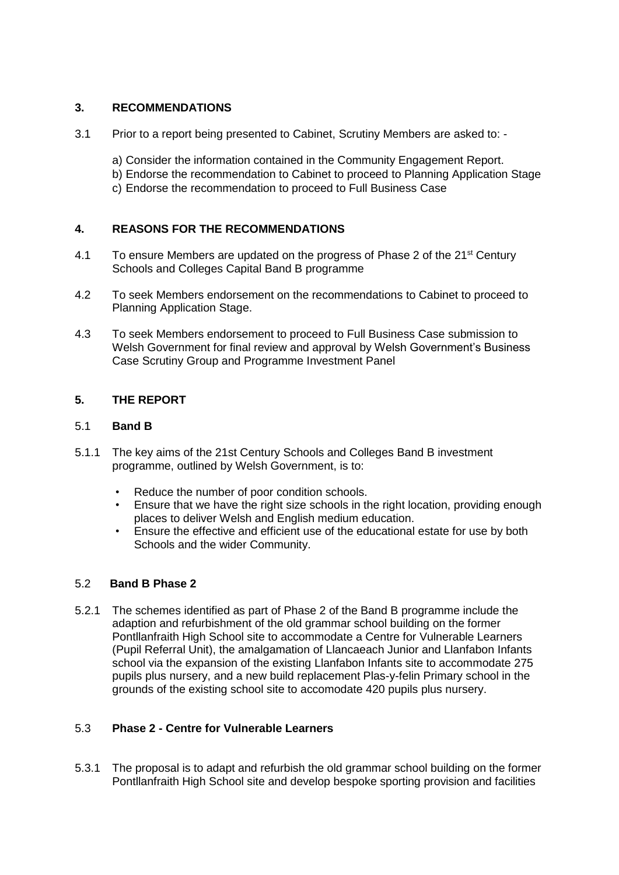# **3. RECOMMENDATIONS**

- 3.1 Prior to a report being presented to Cabinet, Scrutiny Members are asked to:
	- a) Consider the information contained in the Community Engagement Report.
	- b) Endorse the recommendation to Cabinet to proceed to Planning Application Stage
		- c) Endorse the recommendation to proceed to Full Business Case

# **4. REASONS FOR THE RECOMMENDATIONS**

- 4.1 To ensure Members are updated on the progress of Phase 2 of the 21<sup>st</sup> Century Schools and Colleges Capital Band B programme
- 4.2 To seek Members endorsement on the recommendations to Cabinet to proceed to Planning Application Stage.
- 4.3 To seek Members endorsement to proceed to Full Business Case submission to Welsh Government for final review and approval by Welsh Government's Business Case Scrutiny Group and Programme Investment Panel

## **5. THE REPORT**

# 5.1 **Band B**

- 5.1.1 The key aims of the 21st Century Schools and Colleges Band B investment programme, outlined by Welsh Government, is to:
	- Reduce the number of poor condition schools.
	- Ensure that we have the right size schools in the right location, providing enough places to deliver Welsh and English medium education.
	- Ensure the effective and efficient use of the educational estate for use by both Schools and the wider Community.

## 5.2 **Band B Phase 2**

5.2.1 The schemes identified as part of Phase 2 of the Band B programme include the adaption and refurbishment of the old grammar school building on the former Pontllanfraith High School site to accommodate a Centre for Vulnerable Learners (Pupil Referral Unit), the amalgamation of Llancaeach Junior and Llanfabon Infants school via the expansion of the existing Llanfabon Infants site to accommodate 275 pupils plus nursery, and a new build replacement Plas-y-felin Primary school in the grounds of the existing school site to accomodate 420 pupils plus nursery.

## 5.3 **Phase 2 - Centre for Vulnerable Learners**

5.3.1 The proposal is to adapt and refurbish the old grammar school building on the former Pontllanfraith High School site and develop bespoke sporting provision and facilities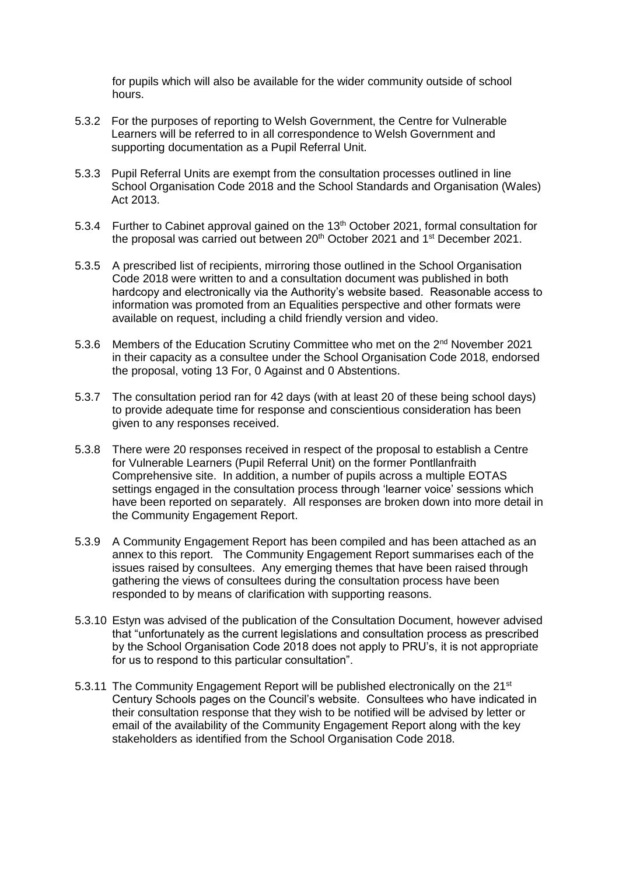for pupils which will also be available for the wider community outside of school hours.

- 5.3.2 For the purposes of reporting to Welsh Government, the Centre for Vulnerable Learners will be referred to in all correspondence to Welsh Government and supporting documentation as a Pupil Referral Unit.
- 5.3.3 Pupil Referral Units are exempt from the consultation processes outlined in line School Organisation Code 2018 and the School Standards and Organisation (Wales) Act 2013.
- 5.3.4 Further to Cabinet approval gained on the 13<sup>th</sup> October 2021, formal consultation for the proposal was carried out between 20<sup>th</sup> October 2021 and 1<sup>st</sup> December 2021.
- 5.3.5 A prescribed list of recipients, mirroring those outlined in the School Organisation Code 2018 were written to and a consultation document was published in both hardcopy and electronically via the Authority's website based. Reasonable access to information was promoted from an Equalities perspective and other formats were available on request, including a child friendly version and video.
- 5.3.6 Members of the Education Scrutiny Committee who met on the 2<sup>nd</sup> November 2021 in their capacity as a consultee under the School Organisation Code 2018, endorsed the proposal, voting 13 For, 0 Against and 0 Abstentions.
- 5.3.7 The consultation period ran for 42 days (with at least 20 of these being school days) to provide adequate time for response and conscientious consideration has been given to any responses received.
- 5.3.8 There were 20 responses received in respect of the proposal to establish a Centre for Vulnerable Learners (Pupil Referral Unit) on the former Pontllanfraith Comprehensive site. In addition, a number of pupils across a multiple EOTAS settings engaged in the consultation process through 'learner voice' sessions which have been reported on separately. All responses are broken down into more detail in the Community Engagement Report.
- 5.3.9 A Community Engagement Report has been compiled and has been attached as an annex to this report. The Community Engagement Report summarises each of the issues raised by consultees. Any emerging themes that have been raised through gathering the views of consultees during the consultation process have been responded to by means of clarification with supporting reasons.
- 5.3.10 Estyn was advised of the publication of the Consultation Document, however advised that "unfortunately as the current legislations and consultation process as prescribed by the School Organisation Code 2018 does not apply to PRU's, it is not appropriate for us to respond to this particular consultation".
- 5.3.11 The Community Engagement Report will be published electronically on the 21<sup>st</sup> Century Schools pages on the Council's website. Consultees who have indicated in their consultation response that they wish to be notified will be advised by letter or email of the availability of the Community Engagement Report along with the key stakeholders as identified from the School Organisation Code 2018.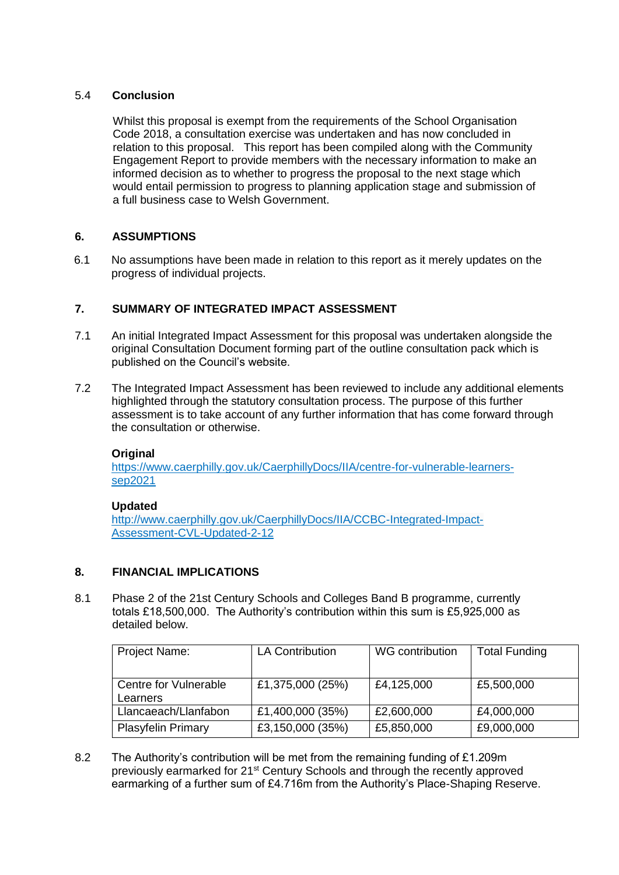# 5.4 **Conclusion**

Whilst this proposal is exempt from the requirements of the School Organisation Code 2018, a consultation exercise was undertaken and has now concluded in relation to this proposal. This report has been compiled along with the Community Engagement Report to provide members with the necessary information to make an informed decision as to whether to progress the proposal to the next stage which would entail permission to progress to planning application stage and submission of a full business case to Welsh Government.

# **6. ASSUMPTIONS**

6.1 No assumptions have been made in relation to this report as it merely updates on the progress of individual projects.

# **7. SUMMARY OF INTEGRATED IMPACT ASSESSMENT**

- 7.1 An initial Integrated Impact Assessment for this proposal was undertaken alongside the original Consultation Document forming part of the outline consultation pack which is published on the Council's website.
- 7.2 The Integrated Impact Assessment has been reviewed to include any additional elements highlighted through the statutory consultation process. The purpose of this further assessment is to take account of any further information that has come forward through the consultation or otherwise.

## **Original**

[https://www.caerphilly.gov.uk/CaerphillyDocs/IIA/centre-for-vulnerable-learners](https://www.caerphilly.gov.uk/CaerphillyDocs/IIA/centre-for-vulnerable-learners-sep2021)[sep2021](https://www.caerphilly.gov.uk/CaerphillyDocs/IIA/centre-for-vulnerable-learners-sep2021)

## **Updated**

[http://www.caerphilly.gov.uk/CaerphillyDocs/IIA/CCBC-Integrated-Impact-](http://www.caerphilly.gov.uk/CaerphillyDocs/IIA/CCBC-Integrated-Impact-Assessment-CVL-Updated-2-12)[Assessment-CVL-Updated-2-12](http://www.caerphilly.gov.uk/CaerphillyDocs/IIA/CCBC-Integrated-Impact-Assessment-CVL-Updated-2-12)

# **8. FINANCIAL IMPLICATIONS**

8.1 Phase 2 of the 21st Century Schools and Colleges Band B programme, currently totals £18,500,000. The Authority's contribution within this sum is £5,925,000 as detailed below.

| <b>Project Name:</b>              | <b>LA Contribution</b> | WG contribution | <b>Total Funding</b> |
|-----------------------------------|------------------------|-----------------|----------------------|
| Centre for Vulnerable<br>Learners | £1,375,000 (25%)       | £4,125,000      | £5,500,000           |
| Llancaeach/Llanfabon              | £1,400,000 (35%)       | £2,600,000      | £4,000,000           |
| <b>Plasyfelin Primary</b>         | £3,150,000 (35%)       | £5,850,000      | £9,000,000           |

8.2 The Authority's contribution will be met from the remaining funding of £1.209m previously earmarked for 21st Century Schools and through the recently approved earmarking of a further sum of £4.716m from the Authority's Place-Shaping Reserve.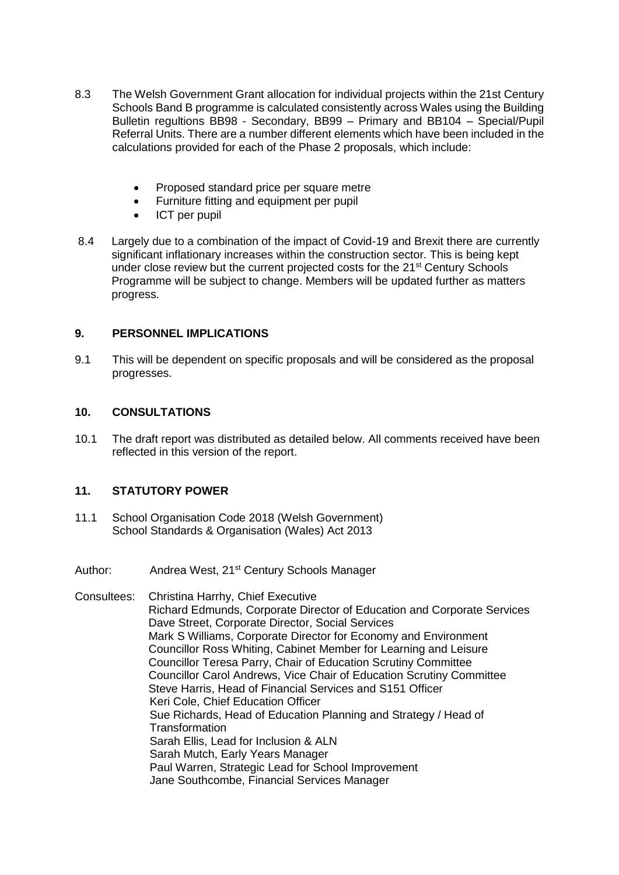- 8.3 The Welsh Government Grant allocation for individual projects within the 21st Century Schools Band B programme is calculated consistently across Wales using the Building Bulletin regultions BB98 - Secondary, BB99 – Primary and BB104 – Special/Pupil Referral Units. There are a number different elements which have been included in the calculations provided for each of the Phase 2 proposals, which include:
	- Proposed standard price per square metre
	- Furniture fitting and equipment per pupil
	- ICT per pupil
- 8.4 Largely due to a combination of the impact of Covid-19 and Brexit there are currently significant inflationary increases within the construction sector. This is being kept under close review but the current projected costs for the 21<sup>st</sup> Century Schools Programme will be subject to change. Members will be updated further as matters progress.

## **9. PERSONNEL IMPLICATIONS**

9.1 This will be dependent on specific proposals and will be considered as the proposal progresses.

# **10. CONSULTATIONS**

10.1 The draft report was distributed as detailed below. All comments received have been reflected in this version of the report.

# **11. STATUTORY POWER**

- 11.1 School Organisation Code 2018 (Welsh Government) School Standards & Organisation (Wales) Act 2013
- Author: Andrea West, 21<sup>st</sup> Century Schools Manager

Consultees: Christina Harrhy, Chief Executive Richard Edmunds, Corporate Director of Education and Corporate Services Dave Street, Corporate Director, Social Services Mark S Williams, Corporate Director for Economy and Environment Councillor Ross Whiting, Cabinet Member for Learning and Leisure Councillor Teresa Parry, Chair of Education Scrutiny Committee Councillor Carol Andrews, Vice Chair of Education Scrutiny Committee Steve Harris, Head of Financial Services and S151 Officer Keri Cole, Chief Education Officer Sue Richards, Head of Education Planning and Strategy / Head of **Transformation** Sarah Ellis, Lead for Inclusion & ALN Sarah Mutch, Early Years Manager Paul Warren, Strategic Lead for School Improvement Jane Southcombe, Financial Services Manager